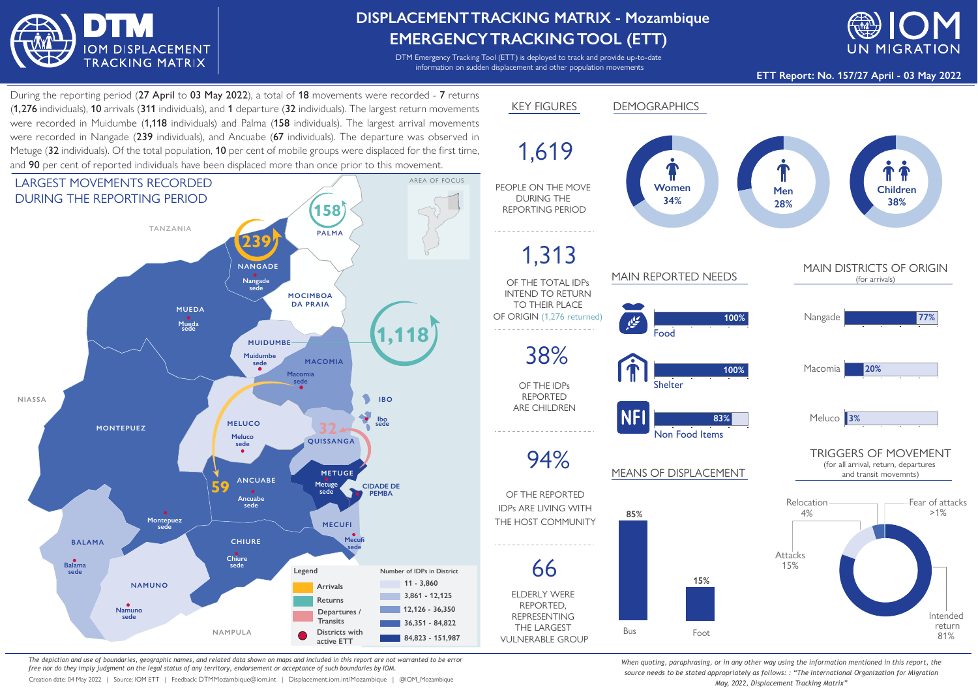

## **DISPLACEMENTTRACKING MATRIX - Mozambique EMERGENCYTRACKINGTOOL (ETT)**

DTM Emergency Tracking Tool (ETT) is deployed to track and provide up-to-date information on sudden displacement and other population movements



**ETT Report: No. 157/27 April - 03 May 2022**

During the reporting period (27 April to 03 May 2022), a total of 18 movements were recorded - 7 returns (1,276 individuals), 10 arrivals (311 individuals), and 1 departure (32 individuals). The largest return movements were recorded in Muidumbe (1.118 individuals) and Palma (158 individuals). The largest arrival movements were recorded in Nangade (239 individuals), and Ancuabe (67 individuals). The departure was observed in Metuge (32 individuals). Of the total population, 10 per cent of mobile groups were displaced for the first time, and 90 per cent of reported individuals have been displaced more than once prior to this movement.



*The depiction and use of boundaries, geographic names, and related data shown on maps and included in this report are not warranted to be error free nor do they imply judgment on the legal status of any territory, endorsement or acceptance of such boundaries by IOM.*

Creation date: 04 May 2022 | Source: IOM ETT | Feedback: DTMMozambique@iom.int | Displacement.iom.int/Mozambique | @IOM\_Mozambique



*When quoting, paraphrasing, or in any other way using the information mentioned in this report, the source needs to be stated appropriately as follows: : "The International Organization for Migration May, 2022, Displacement Tracking Matrix"*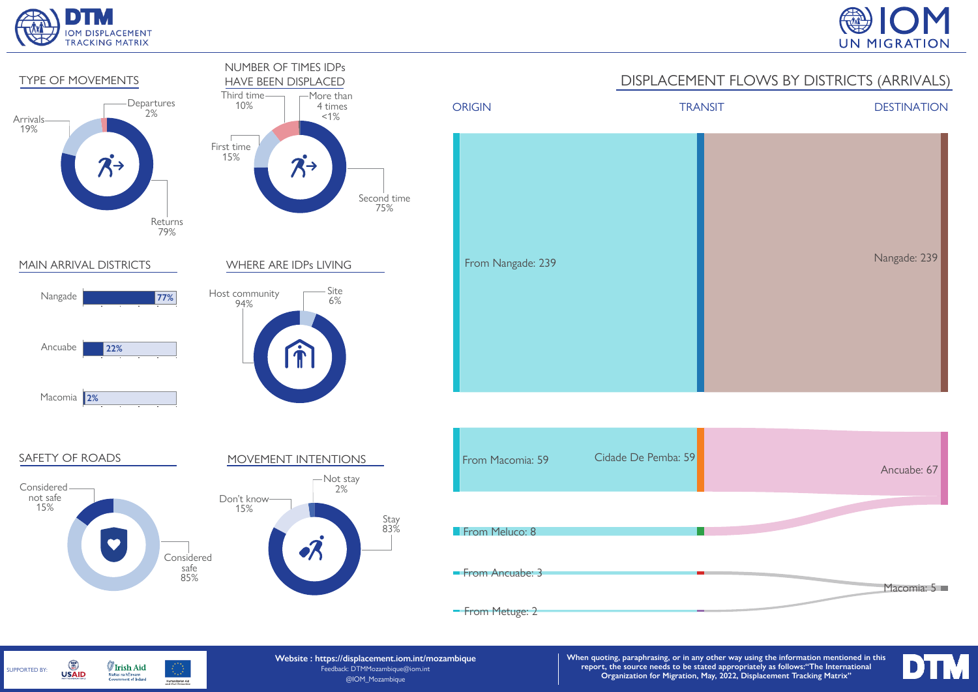





G **Irish Aid** SUPPORTED BY: **USAID** Rialtas na hÉireann<br>Government of Ireland Humanitarian Aid<br>and Civil Protection **Website : https://displacement.iom.int/mozambique** Feedback: DTMMozambique@iom.int @IOM\_Mozambique

**When quoting, paraphrasing, or in any other way using the information mentioned in this report, the source needs to be stated appropriately as follows:"The International Organization for Migration, May, 2022, Displacement Tracking Matrix"**